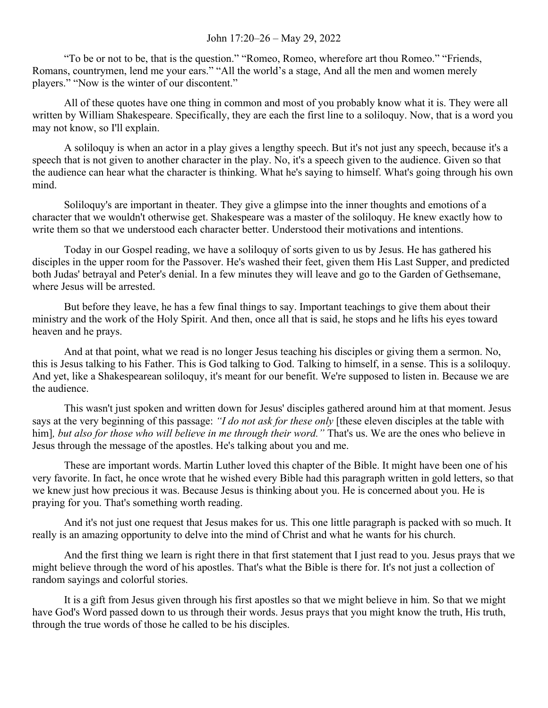## John 17:20–26 – May 29, 2022

"To be or not to be, that is the question." "Romeo, Romeo, wherefore art thou Romeo." "Friends, Romans, countrymen, lend me your ears." "All the world's a stage, And all the men and women merely players." "Now is the winter of our discontent."

All of these quotes have one thing in common and most of you probably know what it is. They were all written by William Shakespeare. Specifically, they are each the first line to a soliloquy. Now, that is a word you may not know, so I'll explain.

A soliloquy is when an actor in a play gives a lengthy speech. But it's not just any speech, because it's a speech that is not given to another character in the play. No, it's a speech given to the audience. Given so that the audience can hear what the character is thinking. What he's saying to himself. What's going through his own mind.

Soliloquy's are important in theater. They give a glimpse into the inner thoughts and emotions of a character that we wouldn't otherwise get. Shakespeare was a master of the soliloquy. He knew exactly how to write them so that we understood each character better. Understood their motivations and intentions.

Today in our Gospel reading, we have a soliloquy of sorts given to us by Jesus. He has gathered his disciples in the upper room for the Passover. He's washed their feet, given them His Last Supper, and predicted both Judas' betrayal and Peter's denial. In a few minutes they will leave and go to the Garden of Gethsemane, where Jesus will be arrested.

But before they leave, he has a few final things to say. Important teachings to give them about their ministry and the work of the Holy Spirit. And then, once all that is said, he stops and he lifts his eyes toward heaven and he prays.

And at that point, what we read is no longer Jesus teaching his disciples or giving them a sermon. No, this is Jesus talking to his Father. This is God talking to God. Talking to himself, in a sense. This is a soliloquy. And yet, like a Shakespearean soliloquy, it's meant for our benefit. We're supposed to listen in. Because we are the audience.

This wasn't just spoken and written down for Jesus' disciples gathered around him at that moment. Jesus says at the very beginning of this passage: *"I do not ask for these only* [these eleven disciples at the table with him], but also for those who will believe in me through their word." That's us. We are the ones who believe in Jesus through the message of the apostles. He's talking about you and me.

These are important words. Martin Luther loved this chapter of the Bible. It might have been one of his very favorite. In fact, he once wrote that he wished every Bible had this paragraph written in gold letters, so that we knew just how precious it was. Because Jesus is thinking about you. He is concerned about you. He is praying for you. That's something worth reading.

And it's not just one request that Jesus makes for us. This one little paragraph is packed with so much. It really is an amazing opportunity to delve into the mind of Christ and what he wants for his church.

And the first thing we learn is right there in that first statement that I just read to you. Jesus prays that we might believe through the word of his apostles. That's what the Bible is there for. It's not just a collection of random sayings and colorful stories.

It is a gift from Jesus given through his first apostles so that we might believe in him. So that we might have God's Word passed down to us through their words. Jesus prays that you might know the truth, His truth, through the true words of those he called to be his disciples.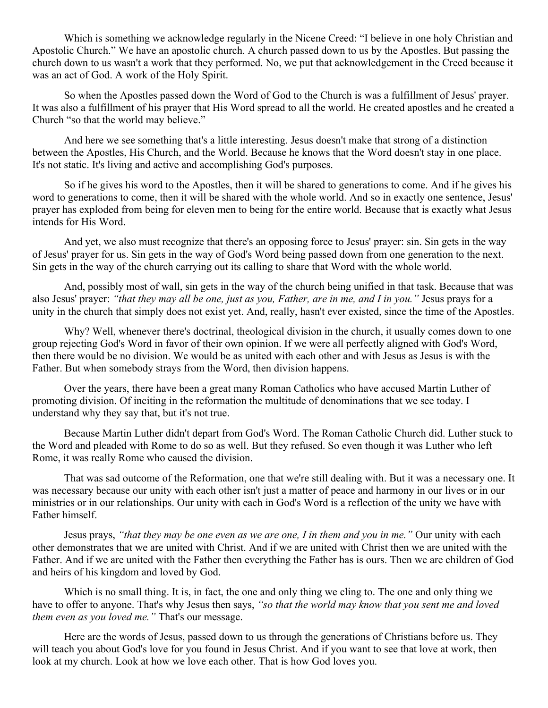Which is something we acknowledge regularly in the Nicene Creed: "I believe in one holy Christian and Apostolic Church." We have an apostolic church. A church passed down to us by the Apostles. But passing the church down to us wasn't a work that they performed. No, we put that acknowledgement in the Creed because it was an act of God. A work of the Holy Spirit.

So when the Apostles passed down the Word of God to the Church is was a fulfillment of Jesus' prayer. It was also a fulfillment of his prayer that His Word spread to all the world. He created apostles and he created a Church "so that the world may believe."

And here we see something that's a little interesting. Jesus doesn't make that strong of a distinction between the Apostles, His Church, and the World. Because he knows that the Word doesn't stay in one place. It's not static. It's living and active and accomplishing God's purposes.

So if he gives his word to the Apostles, then it will be shared to generations to come. And if he gives his word to generations to come, then it will be shared with the whole world. And so in exactly one sentence, Jesus' prayer has exploded from being for eleven men to being for the entire world. Because that is exactly what Jesus intends for His Word.

And yet, we also must recognize that there's an opposing force to Jesus' prayer: sin. Sin gets in the way of Jesus' prayer for us. Sin gets in the way of God's Word being passed down from one generation to the next. Sin gets in the way of the church carrying out its calling to share that Word with the whole world.

And, possibly most of wall, sin gets in the way of the church being unified in that task. Because that was also Jesus' prayer: *"that they may all be one, just as you, Father, are in me, and I in you."* Jesus prays for a unity in the church that simply does not exist yet. And, really, hasn't ever existed, since the time of the Apostles.

Why? Well, whenever there's doctrinal, theological division in the church, it usually comes down to one group rejecting God's Word in favor of their own opinion. If we were all perfectly aligned with God's Word, then there would be no division. We would be as united with each other and with Jesus as Jesus is with the Father. But when somebody strays from the Word, then division happens.

Over the years, there have been a great many Roman Catholics who have accused Martin Luther of promoting division. Of inciting in the reformation the multitude of denominations that we see today. I understand why they say that, but it's not true.

Because Martin Luther didn't depart from God's Word. The Roman Catholic Church did. Luther stuck to the Word and pleaded with Rome to do so as well. But they refused. So even though it was Luther who left Rome, it was really Rome who caused the division.

That was sad outcome of the Reformation, one that we're still dealing with. But it was a necessary one. It was necessary because our unity with each other isn't just a matter of peace and harmony in our lives or in our ministries or in our relationships. Our unity with each in God's Word is a reflection of the unity we have with Father himself.

Jesus prays, *"that they may be one even as we are one, I in them and you in me."* Our unity with each other demonstrates that we are united with Christ. And if we are united with Christ then we are united with the Father. And if we are united with the Father then everything the Father has is ours. Then we are children of God and heirs of his kingdom and loved by God.

Which is no small thing. It is, in fact, the one and only thing we cling to. The one and only thing we have to offer to anyone. That's why Jesus then says, *"so that the world may know that you sent me and loved them even as you loved me."* That's our message.

Here are the words of Jesus, passed down to us through the generations of Christians before us. They will teach you about God's love for you found in Jesus Christ. And if you want to see that love at work, then look at my church. Look at how we love each other. That is how God loves you.